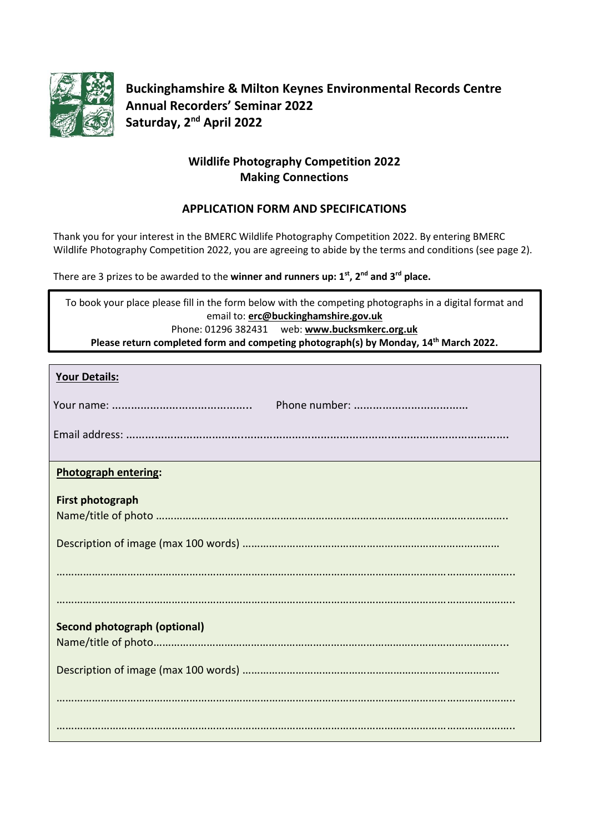

**Buckinghamshire & Milton Keynes Environmental Records Centre Annual Recorders' Seminar 2022 Saturday, 2 nd April 2022**

# **Wildlife Photography Competition 2022 Making Connections**

# **APPLICATION FORM AND SPECIFICATIONS**

Thank you for your interest in the BMERC Wildlife Photography Competition 2022. By entering BMERC Wildlife Photography Competition 2022, you are agreeing to abide by the terms and conditions (see page 2).

There are 3 prizes to be awarded to the **winner and runners up: 1 st, 2nd and 3rd place.**

To book your place please fill in the form below with the competing photographs in a digital format and email to: **[erc@buckinghamshire.gov.uk](mailto:erc@buckinghamshire.gov.uk?subject=BMERC%20Photo%20Competition%202022)** Phone: 01296 382431 web: **[www.bucksmkerc.org.uk](http://www.bucksmkerc.org.uk/) Please return completed form and competing photograph(s) by Monday, 14th March 2022.**

| <b>Your Details:</b>                |
|-------------------------------------|
|                                     |
|                                     |
| <b>Photograph entering:</b>         |
| <b>First photograph</b>             |
|                                     |
|                                     |
|                                     |
| <b>Second photograph (optional)</b> |
|                                     |
|                                     |
|                                     |